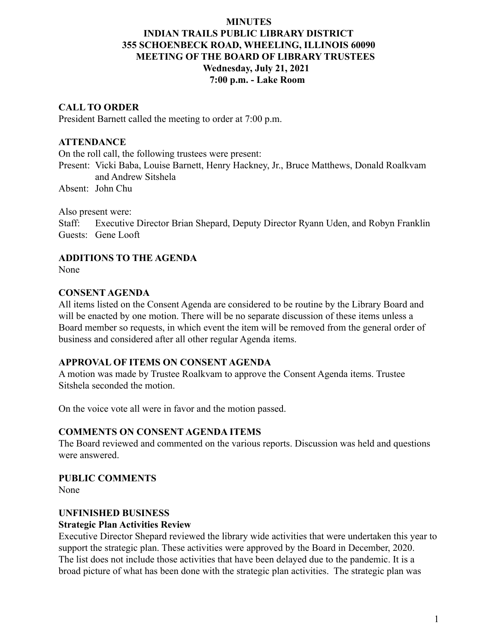# **MINUTES INDIAN TRAILS PUBLIC LIBRARY DISTRICT 355 SCHOENBECK ROAD, WHEELING, ILLINOIS 60090 MEETING OF THE BOARD OF LIBRARY TRUSTEES Wednesday, July 21, 2021 7:00 p.m. - Lake Room**

### **CALL TO ORDER**

President Barnett called the meeting to order at 7:00 p.m.

#### **ATTENDANCE**

On the roll call, the following trustees were present:

Present: Vicki Baba, Louise Barnett, Henry Hackney, Jr., Bruce Matthews, Donald Roalkvam and Andrew Sitshela

Absent: John Chu

Also present were:

Staff: Executive Director Brian Shepard, Deputy Director Ryann Uden, and Robyn Franklin Guests: Gene Looft

### **ADDITIONS TO THE AGENDA**

None

#### **CONSENT AGENDA**

All items listed on the Consent Agenda are considered to be routine by the Library Board and will be enacted by one motion. There will be no separate discussion of these items unless a Board member so requests, in which event the item will be removed from the general order of business and considered after all other regular Agenda items.

### **APPROVAL OF ITEMS ON CONSENT AGENDA**

A motion was made by Trustee Roalkvam to approve the Consent Agenda items. Trustee Sitshela seconded the motion.

On the voice vote all were in favor and the motion passed.

### **COMMENTS ON CONSENT AGENDA ITEMS**

The Board reviewed and commented on the various reports. Discussion was held and questions were answered.

**PUBLIC COMMENTS** None

# **UNFINISHED BUSINESS**

#### **Strategic Plan Activities Review**

Executive Director Shepard reviewed the library wide activities that were undertaken this year to support the strategic plan. These activities were approved by the Board in December, 2020. The list does not include those activities that have been delayed due to the pandemic. It is a broad picture of what has been done with the strategic plan activities. The strategic plan was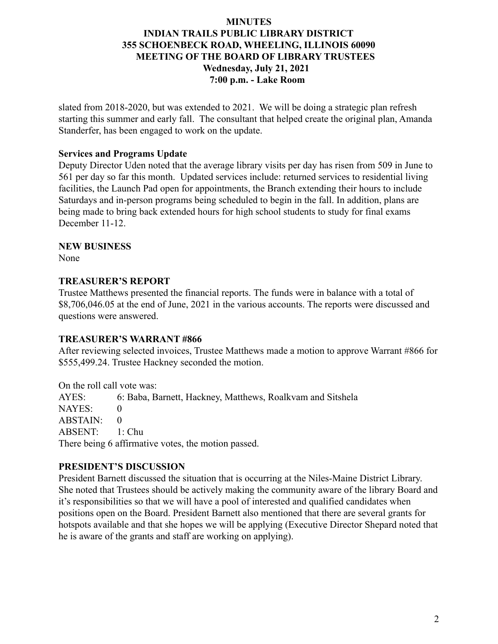# **MINUTES INDIAN TRAILS PUBLIC LIBRARY DISTRICT 355 SCHOENBECK ROAD, WHEELING, ILLINOIS 60090 MEETING OF THE BOARD OF LIBRARY TRUSTEES Wednesday, July 21, 2021 7:00 p.m. - Lake Room**

slated from 2018-2020, but was extended to 2021. We will be doing a strategic plan refresh starting this summer and early fall. The consultant that helped create the original plan, Amanda Standerfer, has been engaged to work on the update.

### **Services and Programs Update**

Deputy Director Uden noted that the average library visits per day has risen from 509 in June to 561 per day so far this month. Updated services include: returned services to residential living facilities, the Launch Pad open for appointments, the Branch extending their hours to include Saturdays and in-person programs being scheduled to begin in the fall. In addition, plans are being made to bring back extended hours for high school students to study for final exams December 11-12.

#### **NEW BUSINESS**

None

### **TREASURER'S REPORT**

Trustee Matthews presented the financial reports. The funds were in balance with a total of \$8,706,046.05 at the end of June, 2021 in the various accounts. The reports were discussed and questions were answered.

#### **TREASURER'S WARRANT #866**

After reviewing selected invoices, Trustee Matthews made a motion to approve Warrant #866 for \$555,499.24. Trustee Hackney seconded the motion.

On the roll call vote was:

AYES: 6: Baba, Barnett, Hackney, Matthews, Roalkvam and Sitshela NAYES: 0 ABSTAIN: 0 ABSENT: 1: Chu There being 6 affirmative votes, the motion passed.

# **PRESIDENT'S DISCUSSION**

President Barnett discussed the situation that is occurring at the Niles-Maine District Library. She noted that Trustees should be actively making the community aware of the library Board and it's responsibilities so that we will have a pool of interested and qualified candidates when positions open on the Board. President Barnett also mentioned that there are several grants for hotspots available and that she hopes we will be applying (Executive Director Shepard noted that he is aware of the grants and staff are working on applying).